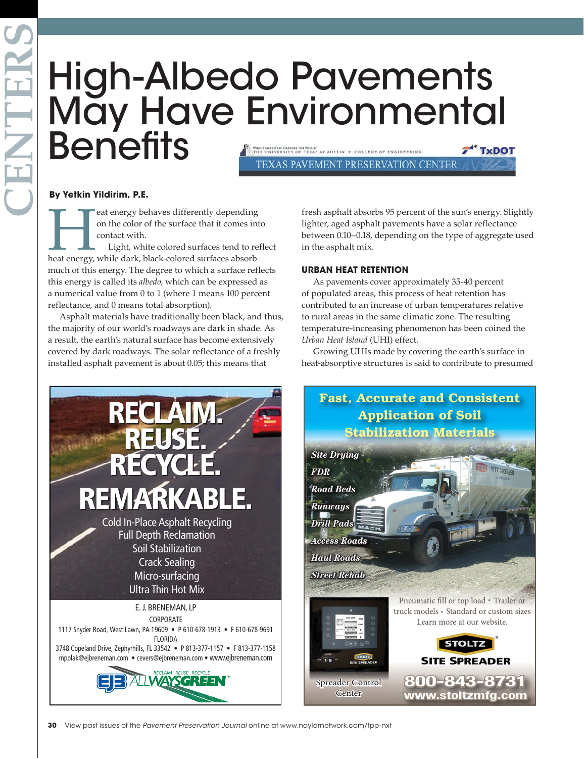# High-Albedo Pavements May Have Environmental **Benefits** WHAI STARIS HIRI CHANGES THI WORLD<br>THE UNIVERSITY OF TEXAS AT AUSTIN + COLLEGE OF ENGINEERING **\*\* TxDOT**

TEXAS PAVEMENT PRESERVATION CENTER

### **By Yetkin Yildirim, P.E.**

**Heat energy behaves differently depending**<br>
on the color of the surface that it comes int<br>
contact with.<br>
Light, white colored surfaces tend to ref<br>
heat energy, while dark, black-colored surfaces absorb on the color of the surface that it comes into contact with.

Light, white colored surfaces tend to reflect much of this energy. The degree to which a surface reflects this energy is called its *albedo,* which can be expressed as a numerical value from 0 to 1 (where 1 means 100 percent reflectance, and 0 means total absorption).

Asphalt materials have traditionally been black, and thus, the majority of our world's roadways are dark in shade. As a result, the earth's natural surface has become extensively covered by dark roadways. The solar reflectance of a freshly installed asphalt pavement is about 0.05; this means that



fresh asphalt absorbs 95 percent of the sun's energy. Slightly lighter, aged asphalt pavements have a solar reflectance between 0.10–0.18, depending on the type of aggregate used in the asphalt mix.

## **URBAN HEAT RETENTION**

As pavements cover approximately 35-40 percent of populated areas, this process of heat retention has contributed to an increase of urban temperatures relative to rural areas in the same climatic zone. The resulting temperature-increasing phenomenon has been coined the *Urban Heat Island* (UHI) effect.

Growing UHIs made by covering the earth's surface in heat-absorptive structures is said to contribute to presumed